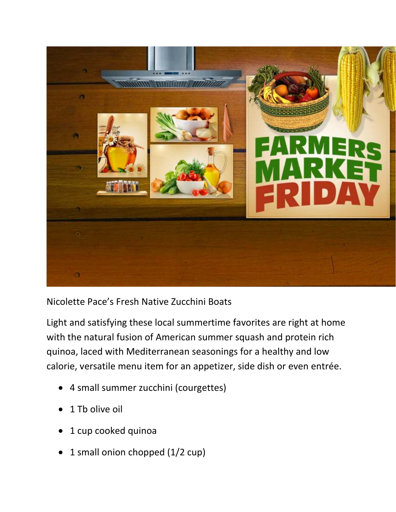

Nicolette Pace's Fresh Native Zucchini Boats

Light and satisfying these local summertime favorites are right at home with the natural fusion of American summer squash and protein rich quinoa, laced with Mediterranean seasonings for a healthy and low calorie, versatile menu item for an appetizer, side dish or even entrée.

- 4 small summer zucchini (courgettes)
- 1 Th olive oil
- 1 cup cooked quinoa
- 1 small onion chopped (1/2 cup)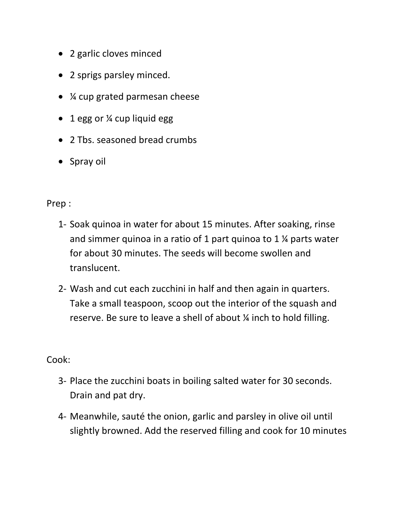- 2 garlic cloves minced
- 2 sprigs parsley minced.
- ¼ cup grated parmesan cheese
- 1 egg or ¼ cup liquid egg
- 2 Tbs. seasoned bread crumbs
- Spray oil

Prep :

- 1- Soak quinoa in water for about 15 minutes. After soaking, rinse and simmer quinoa in a ratio of 1 part quinoa to 1 ¼ parts water for about 30 minutes. The seeds will become swollen and translucent.
- 2- Wash and cut each zucchini in half and then again in quarters. Take a small teaspoon, scoop out the interior of the squash and reserve. Be sure to leave a shell of about ¼ inch to hold filling.

Cook:

- 3- Place the zucchini boats in boiling salted water for 30 seconds. Drain and pat dry.
- 4- Meanwhile, sauté the onion, garlic and parsley in olive oil until slightly browned. Add the reserved filling and cook for 10 minutes